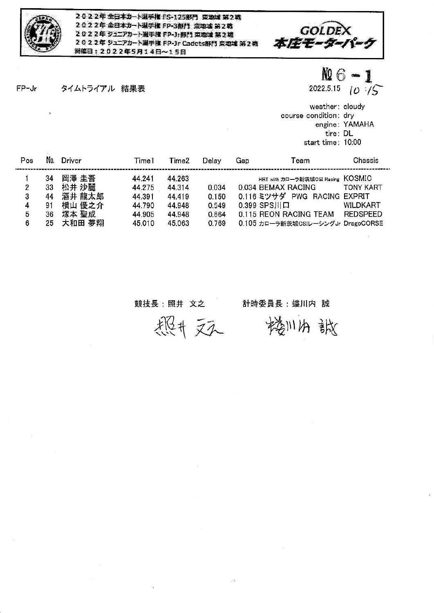

2022年全日本カート選手権 FS-125部門 東地域第2戦 2022年全日本カート選手権 FP-3部門 東地域 第2戦 2022年 ジュニアカート選手権 FP-Jr部門 東地域 第2戦 2022年 ジュニアカート選手権 FP-Jr Cadets部門 東地域 第2戦 洲催日: 2022年5月14日~15日



 $FP-Jr$ タイムトライアル 結果表  $M6 - 1$ 

2022.5.15 ( $0.75$ 

weather: cloudy course condition: dry engine: YAMAHA tire: DL start time: 10:00

| Pos | No. | Driver | Time1  | Time <sub>2</sub> | Delay | Gap | Team                               | Chassis          |
|-----|-----|--------|--------|-------------------|-------|-----|------------------------------------|------------------|
|     | 34  | 岡澤 圭吾  | 44.241 | 44.263            |       |     | HRT with カローラ新茨城CSI Racing KOSMIC  |                  |
| 2   | 33  | 松井 沙麗  | 44.275 | 44.314            | 0.034 |     | 0.034 BEMAX RACING                 | <b>TONY KART</b> |
| 3   | 44  | 酒井 龍太郎 | 44.391 | 44.419            | 0.150 |     | 0.116 ミツサダ PWG RACING EXPRIT       |                  |
| 4   | 91  | 横山 優之介 | 44.790 | 44.948            | 0.549 |     | $0.399$ SPS $  D  $                | <b>WILDKART</b>  |
| 5   | 36  | 塚本 聖成  | 44.905 | 44.948            | 0.664 |     | 0.115 REON RACING TEAM             | REDSPEED         |
| 6   | 25  | 大和田 夢翔 | 45.010 | 45.063            | 0.769 |     | 0.105 カローラ新茨城CSIレーシングJr DragoCORSE |                  |

## 競技長 : 照井 文之

## 計時委員長:螻川内 誠 楼川内 談

恐怕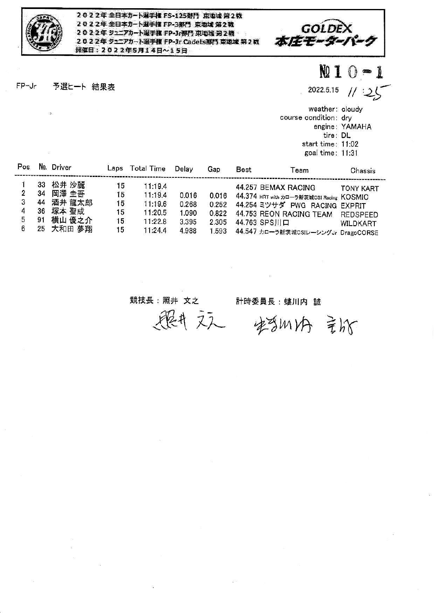

2022年全日本カート選手框 FS-125部門 東地域第2戦 2022年全日本カート選手権 FP-3部門 東地域第2戦 2022年 ジュニアカート選手権 FP-Jr野門 東地域 第2戦 2022年ラエアカート選手権 FP-Jr Cadets部門 東地域 第2戦 **開催日: 2022年5月14日~15日** 



 $FP-Jr$ 予選ヒート 結果表 **NQ 1**  $0 - 1$ 

2022.5.15

 $11:25$ 

weather: cloudy course condition: dry engine: YAMAHA tire: DL start time: 11:02 goal time: 11:31

| Pos |    | Driver    | Laps | Total Time | Delay | Gap   | <b>Best</b>  | Геаm                                     | Chassis          |
|-----|----|-----------|------|------------|-------|-------|--------------|------------------------------------------|------------------|
|     | 33 | 松井 沙麗     | 15   | 11:19.4    |       |       |              | 44.257 BEMAX RACING                      | <b>TONY KART</b> |
|     | 34 | 岡澤 圭吾     | 15   | 11:19.4    | 0.016 | 0.016 |              | 44.374 HRT with カローラ新茨城CSI Racing KOSMIC |                  |
|     | 44 | 酒井 龍太郎    | 15   | 11:19.6    | 0.268 | 0.252 |              | 44.254 ミツサダ PWG RACING EXPRIT            |                  |
|     | 36 | 塚本 聖成     | 15.  | 11:20.5    | 1.090 | 0.822 |              | 44.753 REON RACING TEAM                  | <b>REDSPEED</b>  |
|     |    | 横山 優之介    | 15   | 11:22.8    | 3.395 | 2.305 | 44.763 SPS川口 |                                          | WILDKART         |
|     |    | 25 大和田 夢翔 | 15   | 11:24.4    | 4.988 | 1.593 |              | 44.547 カローラ新茨城CSIレーシングJr DragoCORSE      |                  |

競技長:照井 文之

計時委員長:螻川内 誠

 $\chi$ 

照井文人 安当州内 言战